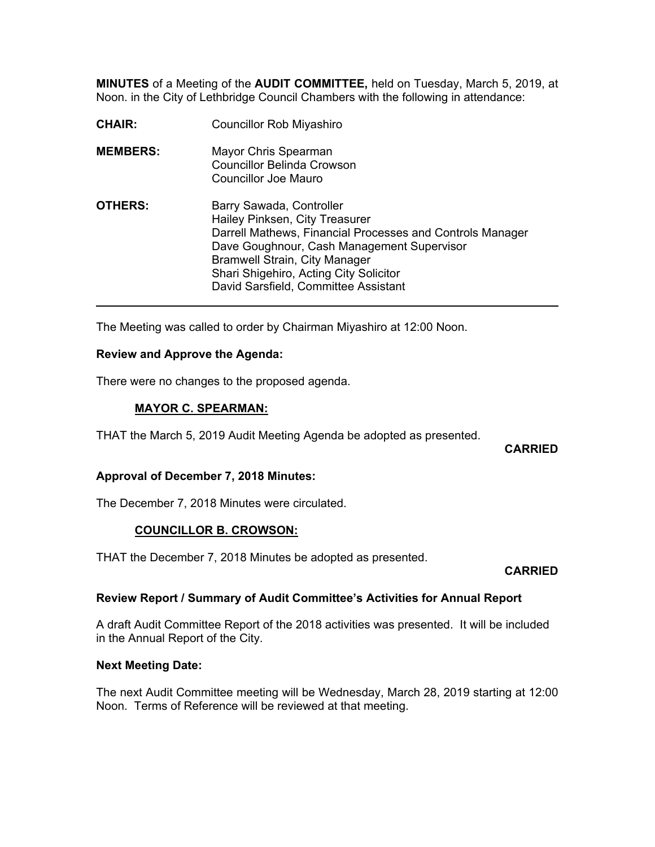**MINUTES** of a Meeting of the **AUDIT COMMITTEE,** held on Tuesday, March 5, 2019, at Noon. in the City of Lethbridge Council Chambers with the following in attendance:

| <b>CHAIR:</b>   | <b>Councillor Rob Miyashiro</b>                                                                                                                                                                                                                                                                 |
|-----------------|-------------------------------------------------------------------------------------------------------------------------------------------------------------------------------------------------------------------------------------------------------------------------------------------------|
| <b>MEMBERS:</b> | Mayor Chris Spearman<br><b>Councillor Belinda Crowson</b><br>Councillor Joe Mauro                                                                                                                                                                                                               |
| <b>OTHERS:</b>  | Barry Sawada, Controller<br>Hailey Pinksen, City Treasurer<br>Darrell Mathews, Financial Processes and Controls Manager<br>Dave Goughnour, Cash Management Supervisor<br><b>Bramwell Strain, City Manager</b><br>Shari Shigehiro, Acting City Solicitor<br>David Sarsfield, Committee Assistant |

The Meeting was called to order by Chairman Miyashiro at 12:00 Noon.

### **Review and Approve the Agenda:**

There were no changes to the proposed agenda.

### **MAYOR C. SPEARMAN:**

THAT the March 5, 2019 Audit Meeting Agenda be adopted as presented.

**CARRIED** 

## **Approval of December 7, 2018 Minutes:**

The December 7, 2018 Minutes were circulated.

## **COUNCILLOR B. CROWSON:**

THAT the December 7, 2018 Minutes be adopted as presented.

#### **CARRIED**

#### **Review Report / Summary of Audit Committee's Activities for Annual Report**

A draft Audit Committee Report of the 2018 activities was presented. It will be included in the Annual Report of the City.

#### **Next Meeting Date:**

The next Audit Committee meeting will be Wednesday, March 28, 2019 starting at 12:00 Noon. Terms of Reference will be reviewed at that meeting.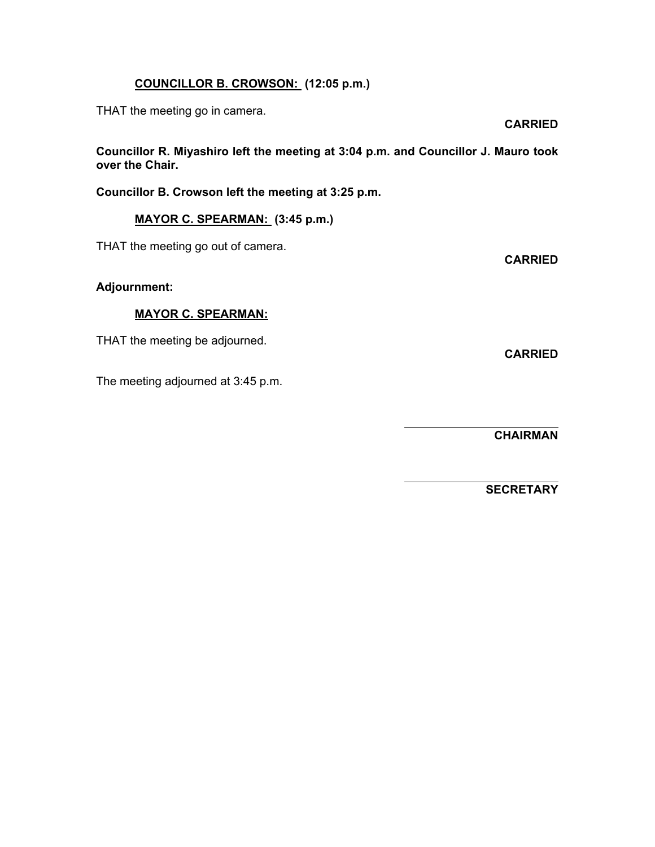# **COUNCILLOR B. CROWSON: (12:05 p.m.)**

THAT the meeting go in camera.

**Councillor R. Miyashiro left the meeting at 3:04 p.m. and Councillor J. Mauro took over the Chair.** 

**Councillor B. Crowson left the meeting at 3:25 p.m.** 

# **MAYOR C. SPEARMAN: (3:45 p.m.)**

THAT the meeting go out of camera.

## **Adjournment:**

### **MAYOR C. SPEARMAN:**

THAT the meeting be adjourned.

The meeting adjourned at 3:45 p.m.

 **CHAIRMAN** 

 $\overline{a}$ 

 $\overline{a}$ 

 **SECRETARY** 

**CARRIED** 

**CARRIED**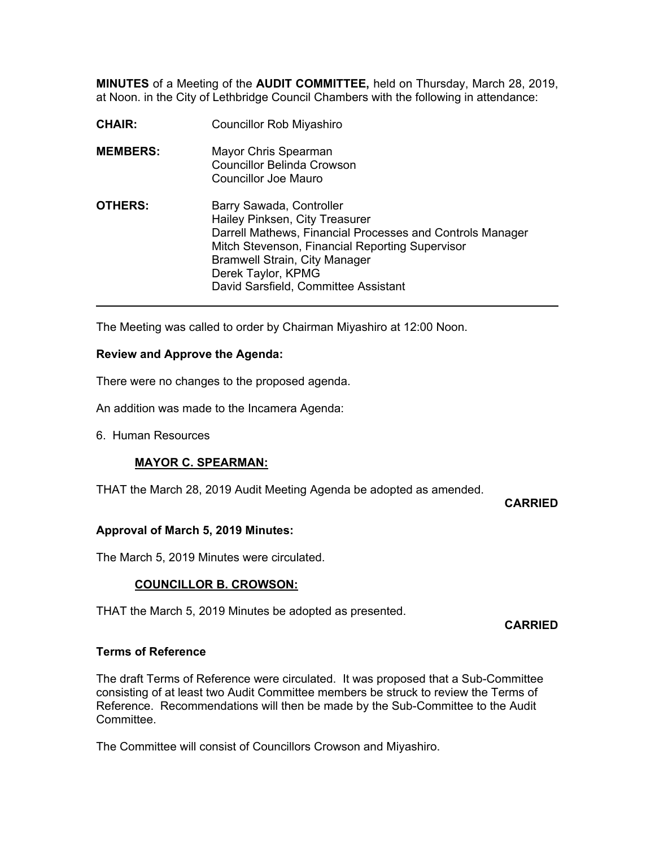**MINUTES** of a Meeting of the **AUDIT COMMITTEE,** held on Thursday, March 28, 2019, at Noon. in the City of Lethbridge Council Chambers with the following in attendance:

| <b>CHAIR:</b>   | <b>Councillor Rob Miyashiro</b>                                                                                                                                                                                                                                                  |
|-----------------|----------------------------------------------------------------------------------------------------------------------------------------------------------------------------------------------------------------------------------------------------------------------------------|
| <b>MEMBERS:</b> | Mayor Chris Spearman<br><b>Councillor Belinda Crowson</b><br>Councillor Joe Mauro                                                                                                                                                                                                |
| <b>OTHERS:</b>  | Barry Sawada, Controller<br>Hailey Pinksen, City Treasurer<br>Darrell Mathews, Financial Processes and Controls Manager<br>Mitch Stevenson, Financial Reporting Supervisor<br><b>Bramwell Strain, City Manager</b><br>Derek Taylor, KPMG<br>David Sarsfield, Committee Assistant |

The Meeting was called to order by Chairman Miyashiro at 12:00 Noon.

### **Review and Approve the Agenda:**

There were no changes to the proposed agenda.

An addition was made to the Incamera Agenda:

6. Human Resources

## **MAYOR C. SPEARMAN:**

THAT the March 28, 2019 Audit Meeting Agenda be adopted as amended.

**CARRIED** 

## **Approval of March 5, 2019 Minutes:**

The March 5, 2019 Minutes were circulated.

## **COUNCILLOR B. CROWSON:**

THAT the March 5, 2019 Minutes be adopted as presented.

**CARRIED** 

#### **Terms of Reference**

The draft Terms of Reference were circulated. It was proposed that a Sub-Committee consisting of at least two Audit Committee members be struck to review the Terms of Reference. Recommendations will then be made by the Sub-Committee to the Audit Committee.

The Committee will consist of Councillors Crowson and Miyashiro.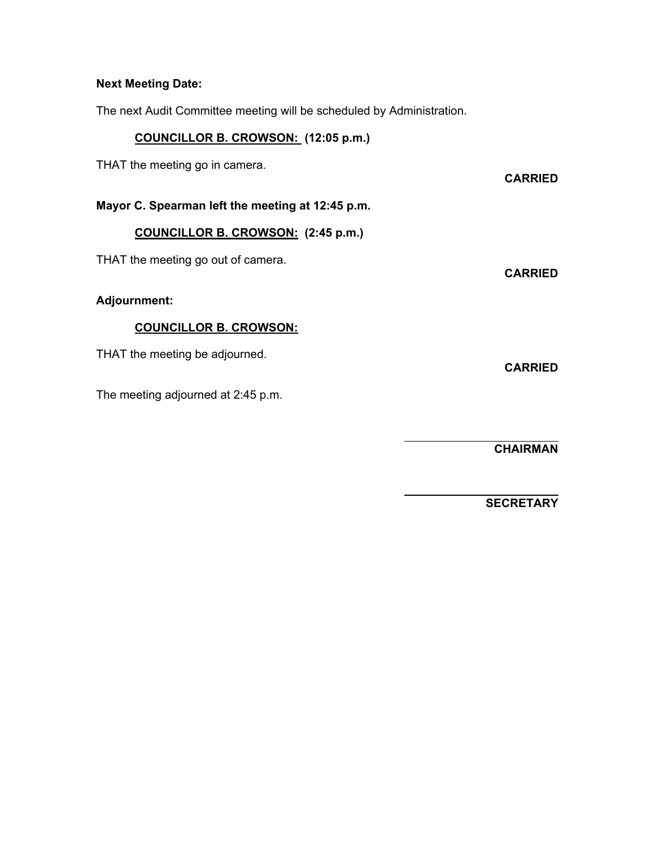### **Next Meeting Date:**

The next Audit Committee meeting will be scheduled by Administration.

# **COUNCILLOR B. CROWSON: (12:05 p.m.)**

THAT the meeting go in camera.

**Mayor C. Spearman left the meeting at 12:45 p.m.** 

### **COUNCILLOR B. CROWSON: (2:45 p.m.)**

THAT the meeting go out of camera.

### **Adjournment:**

# **COUNCILLOR B. CROWSON:**

THAT the meeting be adjourned.

The meeting adjourned at 2:45 p.m.

 **CHAIRMAN** 

 **SECRETARY** 

**CARRIED** 

**CARRIED** 

**CARRIED** 

 $\overline{a}$ 

 $\overline{a}$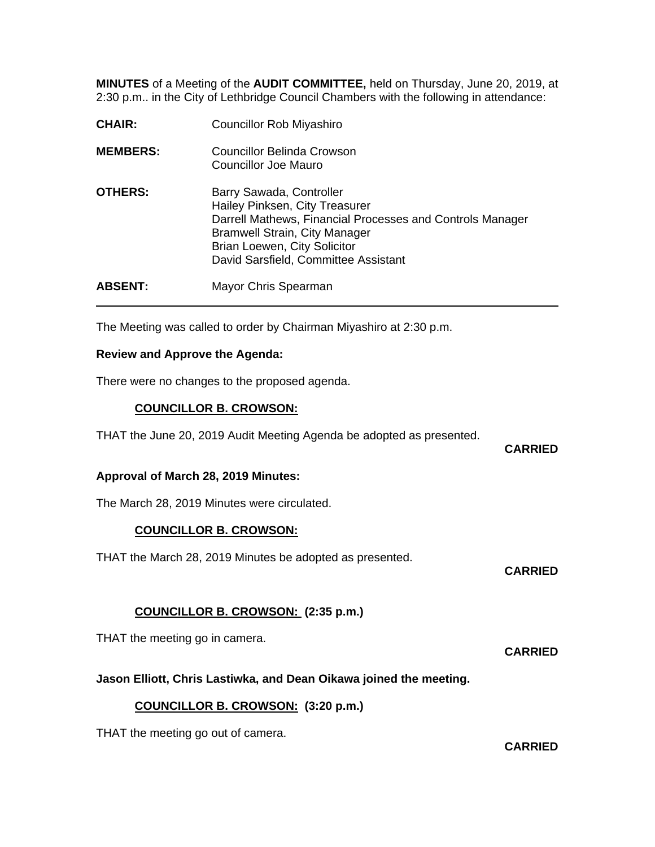**MINUTES** of a Meeting of the **AUDIT COMMITTEE,** held on Thursday, June 20, 2019, at 2:30 p.m.. in the City of Lethbridge Council Chambers with the following in attendance:

| <b>CHAIR:</b>   | <b>Councillor Rob Miyashiro</b>                                                                                                                                                                                                         |
|-----------------|-----------------------------------------------------------------------------------------------------------------------------------------------------------------------------------------------------------------------------------------|
| <b>MEMBERS:</b> | Councillor Belinda Crowson<br>Councillor Joe Mauro                                                                                                                                                                                      |
| <b>OTHERS:</b>  | Barry Sawada, Controller<br>Hailey Pinksen, City Treasurer<br>Darrell Mathews, Financial Processes and Controls Manager<br><b>Bramwell Strain, City Manager</b><br>Brian Loewen, City Solicitor<br>David Sarsfield, Committee Assistant |
| <b>ABSENT:</b>  | Mayor Chris Spearman                                                                                                                                                                                                                    |

The Meeting was called to order by Chairman Miyashiro at 2:30 p.m.

### **Review and Approve the Agenda:**

There were no changes to the proposed agenda.

## **COUNCILLOR B. CROWSON:**

THAT the June 20, 2019 Audit Meeting Agenda be adopted as presented.

**CARRIED** 

#### **Approval of March 28, 2019 Minutes:**

The March 28, 2019 Minutes were circulated.

## **COUNCILLOR B. CROWSON:**

THAT the March 28, 2019 Minutes be adopted as presented.

#### **CARRIED**

# **COUNCILLOR B. CROWSON: (2:35 p.m.)**

THAT the meeting go in camera.

**CARRIED** 

## **Jason Elliott, Chris Lastiwka, and Dean Oikawa joined the meeting.**

## **COUNCILLOR B. CROWSON: (3:20 p.m.)**

THAT the meeting go out of camera.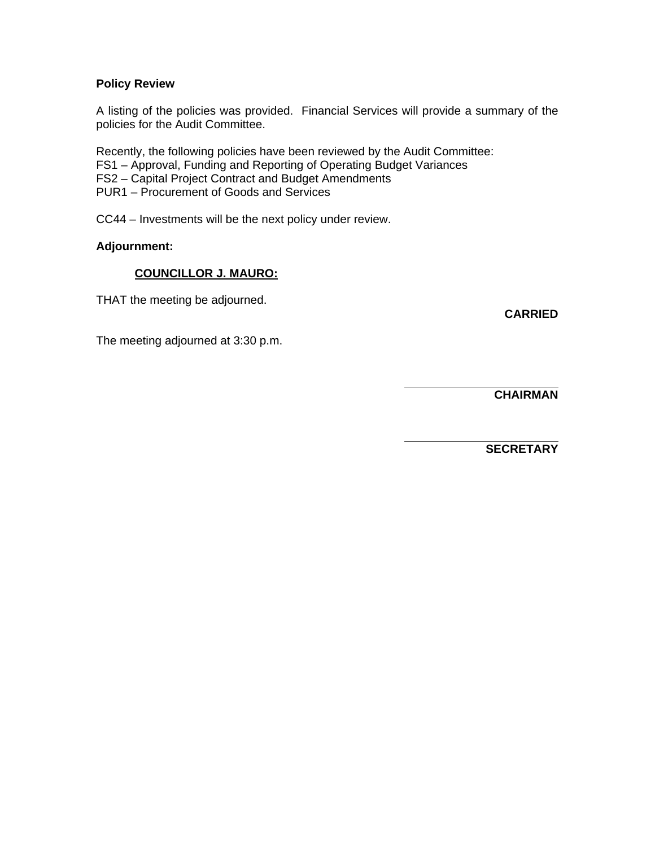### **Policy Review**

A listing of the policies was provided. Financial Services will provide a summary of the policies for the Audit Committee.

Recently, the following policies have been reviewed by the Audit Committee:

FS1 – Approval, Funding and Reporting of Operating Budget Variances

FS2 – Capital Project Contract and Budget Amendments

PUR1 – Procurement of Goods and Services

CC44 – Investments will be the next policy under review.

### **Adjournment:**

## **COUNCILLOR J. MAURO:**

THAT the meeting be adjourned.

**CARRIED** 

The meeting adjourned at 3:30 p.m.

 **CHAIRMAN** 

 $\overline{a}$ 

 $\overline{a}$ 

 **SECRETARY**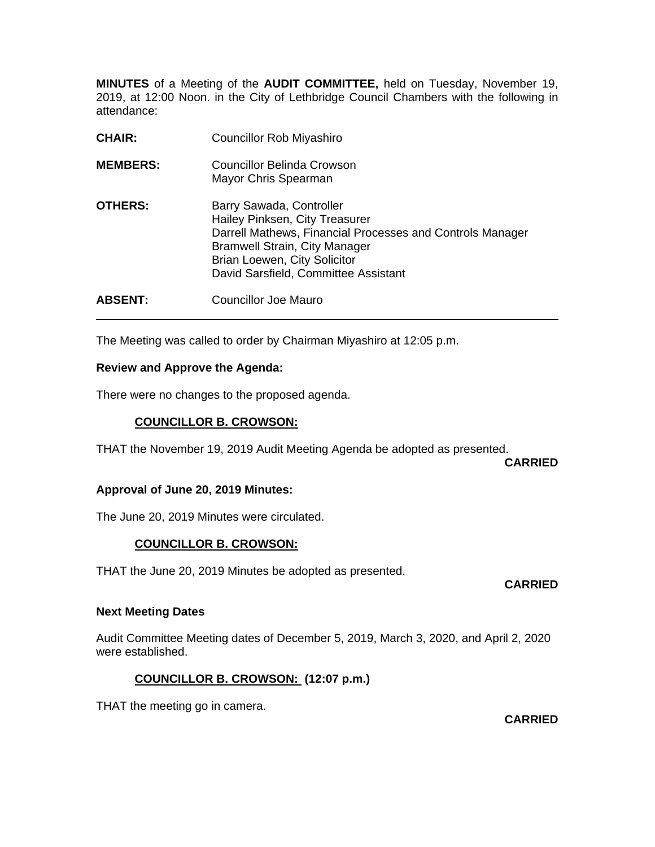**MINUTES** of a Meeting of the **AUDIT COMMITTEE,** held on Tuesday, November 19, 2019, at 12:00 Noon. in the City of Lethbridge Council Chambers with the following in attendance:

| <b>CHAIR:</b>   | <b>Councillor Rob Miyashiro</b>                                                                                                                                                                                                                |
|-----------------|------------------------------------------------------------------------------------------------------------------------------------------------------------------------------------------------------------------------------------------------|
| <b>MEMBERS:</b> | Councillor Belinda Crowson<br>Mayor Chris Spearman                                                                                                                                                                                             |
| <b>OTHERS:</b>  | Barry Sawada, Controller<br>Hailey Pinksen, City Treasurer<br>Darrell Mathews, Financial Processes and Controls Manager<br><b>Bramwell Strain, City Manager</b><br><b>Brian Loewen, City Solicitor</b><br>David Sarsfield, Committee Assistant |
| <b>ABSENT:</b>  | Councillor Joe Mauro                                                                                                                                                                                                                           |

The Meeting was called to order by Chairman Miyashiro at 12:05 p.m.

### **Review and Approve the Agenda:**

 $\overline{a}$ 

There were no changes to the proposed agenda.

## **COUNCILLOR B. CROWSON:**

THAT the November 19, 2019 Audit Meeting Agenda be adopted as presented.

**CARRIED** 

#### **Approval of June 20, 2019 Minutes:**

The June 20, 2019 Minutes were circulated.

## **COUNCILLOR B. CROWSON:**

THAT the June 20, 2019 Minutes be adopted as presented.

#### **CARRIED**

#### **Next Meeting Dates**

Audit Committee Meeting dates of December 5, 2019, March 3, 2020, and April 2, 2020 were established.

## **COUNCILLOR B. CROWSON: (12:07 p.m.)**

THAT the meeting go in camera.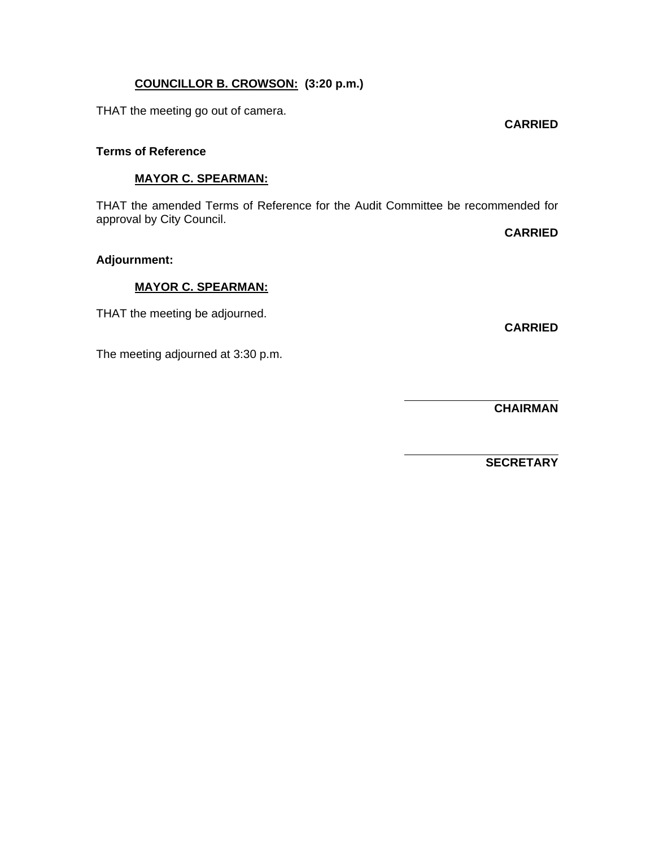# **COUNCILLOR B. CROWSON: (3:20 p.m.)**

THAT the meeting go out of camera.

#### **Terms of Reference**

### **MAYOR C. SPEARMAN:**

THAT the amended Terms of Reference for the Audit Committee be recommended for approval by City Council.

 $\overline{a}$ 

 $\overline{a}$ 

**CARRIED** 

# **Adjournment:**

## **MAYOR C. SPEARMAN:**

THAT the meeting be adjourned.

**CARRIED** 

The meeting adjourned at 3:30 p.m.

 **CHAIRMAN** 

 **SECRETARY**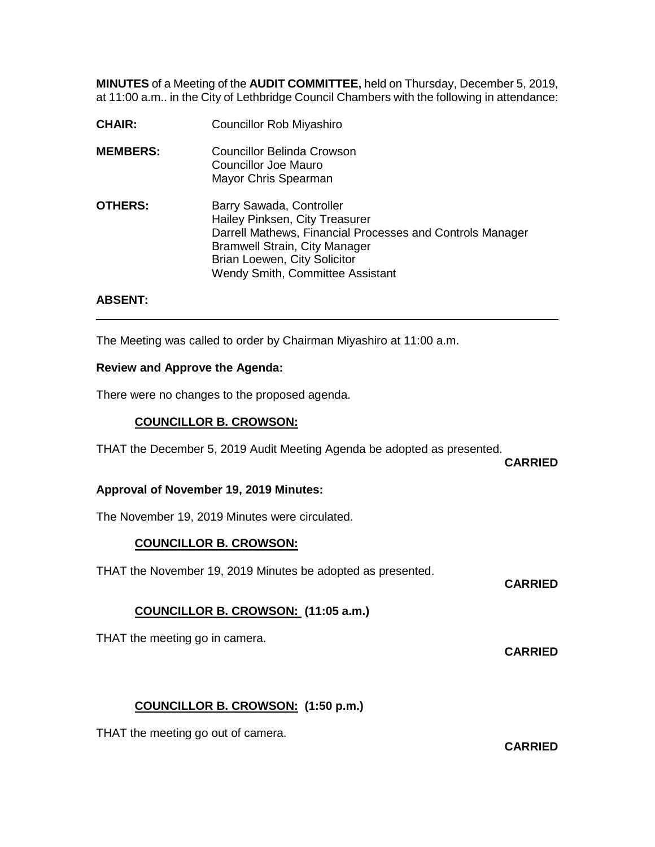**MINUTES** of a Meeting of the **AUDIT COMMITTEE,** held on Thursday, December 5, 2019, at 11:00 a.m.. in the City of Lethbridge Council Chambers with the following in attendance:

**CHAIR:** Councillor Rob Miyashiro **MEMBERS:** Councillor Belinda Crowson Councillor Joe Mauro Mayor Chris Spearman **OTHERS:** Barry Sawada, Controller Hailey Pinksen, City Treasurer Darrell Mathews, Financial Processes and Controls Manager Bramwell Strain, City Manager Brian Loewen, City Solicitor Wendy Smith, Committee Assistant

## **ABSENT:**

The Meeting was called to order by Chairman Miyashiro at 11:00 a.m.

## **Review and Approve the Agenda:**

There were no changes to the proposed agenda.

## **COUNCILLOR B. CROWSON:**

THAT the December 5, 2019 Audit Meeting Agenda be adopted as presented.

**CARRIED**

## **Approval of November 19, 2019 Minutes:**

The November 19, 2019 Minutes were circulated.

# **COUNCILLOR B. CROWSON:**

THAT the November 19, 2019 Minutes be adopted as presented.

**CARRIED**

**CARRIED**

# **COUNCILLOR B. CROWSON: (11:05 a.m.)**

THAT the meeting go in camera.

# **COUNCILLOR B. CROWSON: (1:50 p.m.)**

THAT the meeting go out of camera.